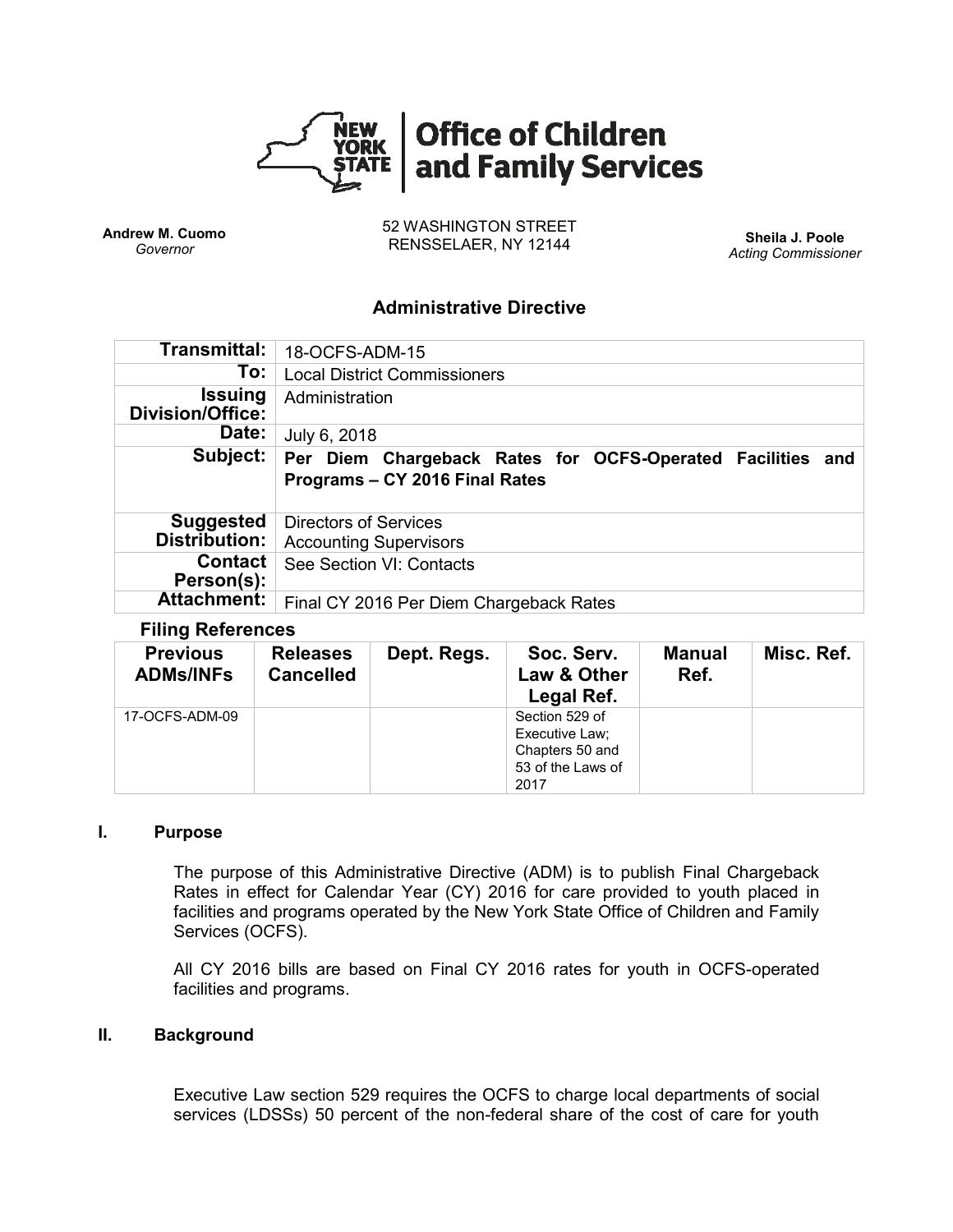

**Andrew M. Cuomo** *Governor*

52 WASHINGTON STREET RENSSELAER, NY 12144 **Sheila J. Poole**

*Acting Commissioner*

# **Administrative Directive**

| Transmittal:                                       | 18-OCFS-ADM-15                                                                               |  |  |  |  |  |
|----------------------------------------------------|----------------------------------------------------------------------------------------------|--|--|--|--|--|
| To:                                                | <b>Local District Commissioners</b>                                                          |  |  |  |  |  |
| Issuing<br>Division/Office:                        | Administration                                                                               |  |  |  |  |  |
| Date:                                              | July 6, 2018                                                                                 |  |  |  |  |  |
| Subject:                                           | Per Diem Chargeback Rates for OCFS-Operated Facilities and<br>Programs - CY 2016 Final Rates |  |  |  |  |  |
|                                                    |                                                                                              |  |  |  |  |  |
| <b>Suggested</b><br>Distribution:                  | <b>Directors of Services</b><br><b>Accounting Supervisors</b>                                |  |  |  |  |  |
| <b>Contact</b><br>Person(s):<br><b>Attachment:</b> | See Section VI: Contacts                                                                     |  |  |  |  |  |

### **Filing References**

| <b>Previous</b><br><b>ADMs/INFs</b> | <b>Releases</b><br><b>Cancelled</b> | Dept. Regs. | Soc. Serv.<br>Law & Other<br>Legal Ref.                                          | Manual<br>Ref. | Misc. Ref. |
|-------------------------------------|-------------------------------------|-------------|----------------------------------------------------------------------------------|----------------|------------|
| 17-OCFS-ADM-09                      |                                     |             | Section 529 of<br>Executive Law;<br>Chapters 50 and<br>53 of the Laws of<br>2017 |                |            |

### **I. Purpose**

The purpose of this Administrative Directive (ADM) is to publish Final Chargeback Rates in effect for Calendar Year (CY) 2016 for care provided to youth placed in facilities and programs operated by the New York State Office of Children and Family Services (OCFS).

All CY 2016 bills are based on Final CY 2016 rates for youth in OCFS-operated facilities and programs.

### **II. Background**

Executive Law section 529 requires the OCFS to charge local departments of social services (LDSSs) 50 percent of the non-federal share of the cost of care for youth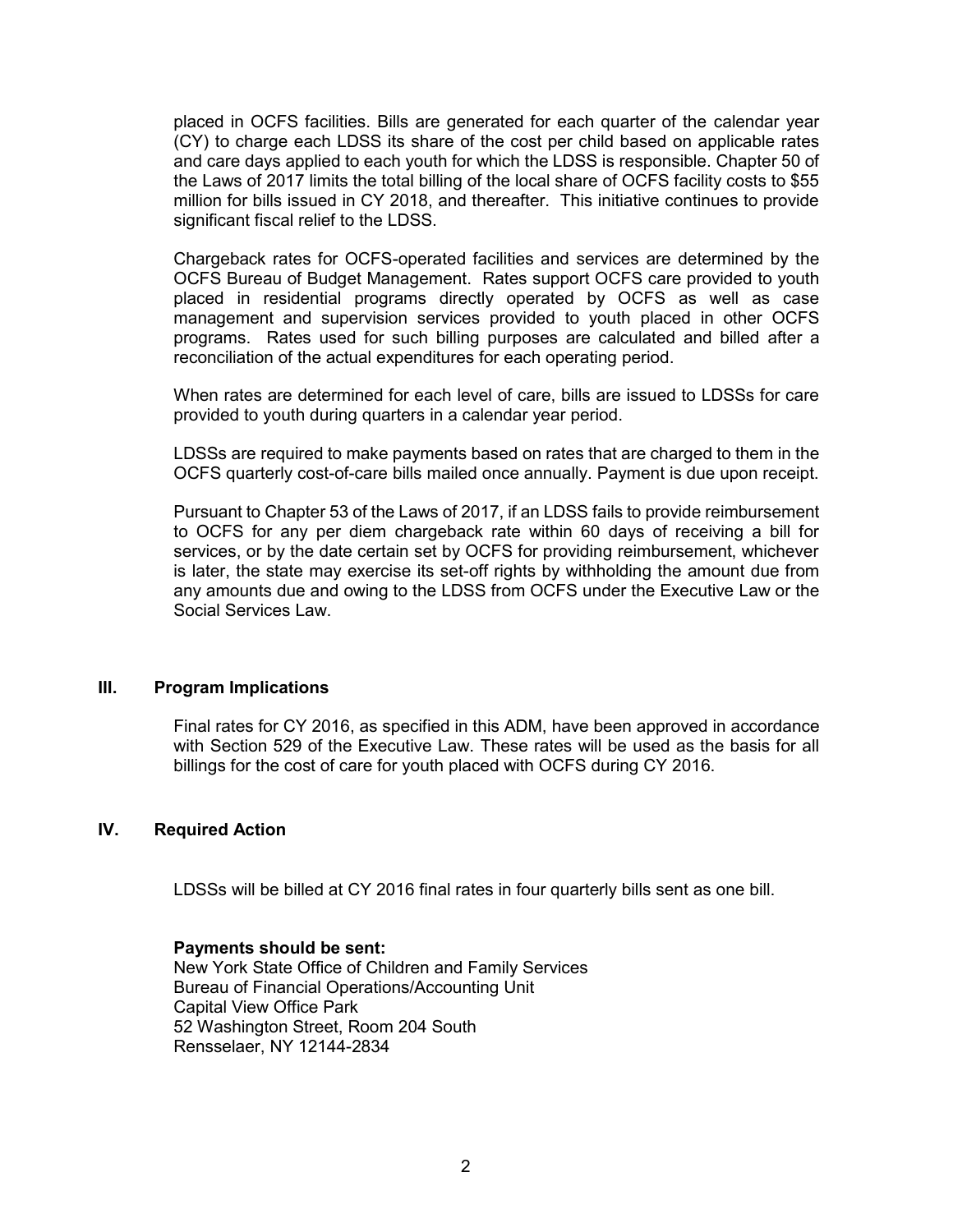placed in OCFS facilities. Bills are generated for each quarter of the calendar year (CY) to charge each LDSS its share of the cost per child based on applicable rates and care days applied to each youth for which the LDSS is responsible. Chapter 50 of the Laws of 2017 limits the total billing of the local share of OCFS facility costs to \$55 million for bills issued in CY 2018, and thereafter. This initiative continues to provide significant fiscal relief to the LDSS.

Chargeback rates for OCFS-operated facilities and services are determined by the OCFS Bureau of Budget Management. Rates support OCFS care provided to youth placed in residential programs directly operated by OCFS as well as case management and supervision services provided to youth placed in other OCFS programs. Rates used for such billing purposes are calculated and billed after a reconciliation of the actual expenditures for each operating period.

When rates are determined for each level of care, bills are issued to LDSSs for care provided to youth during quarters in a calendar year period.

LDSSs are required to make payments based on rates that are charged to them in the OCFS quarterly cost-of-care bills mailed once annually. Payment is due upon receipt.

Pursuant to Chapter 53 of the Laws of 2017, if an LDSS fails to provide reimbursement to OCFS for any per diem chargeback rate within 60 days of receiving a bill for services, or by the date certain set by OCFS for providing reimbursement, whichever is later, the state may exercise its set-off rights by withholding the amount due from any amounts due and owing to the LDSS from OCFS under the Executive Law or the Social Services Law.

#### **III. Program Implications**

Final rates for CY 2016, as specified in this ADM, have been approved in accordance with Section 529 of the Executive Law. These rates will be used as the basis for all billings for the cost of care for youth placed with OCFS during CY 2016.

#### **IV. Required Action**

LDSSs will be billed at CY 2016 final rates in four quarterly bills sent as one bill.

#### **Payments should be sent:**

New York State Office of Children and Family Services Bureau of Financial Operations/Accounting Unit Capital View Office Park 52 Washington Street, Room 204 South Rensselaer, NY 12144-2834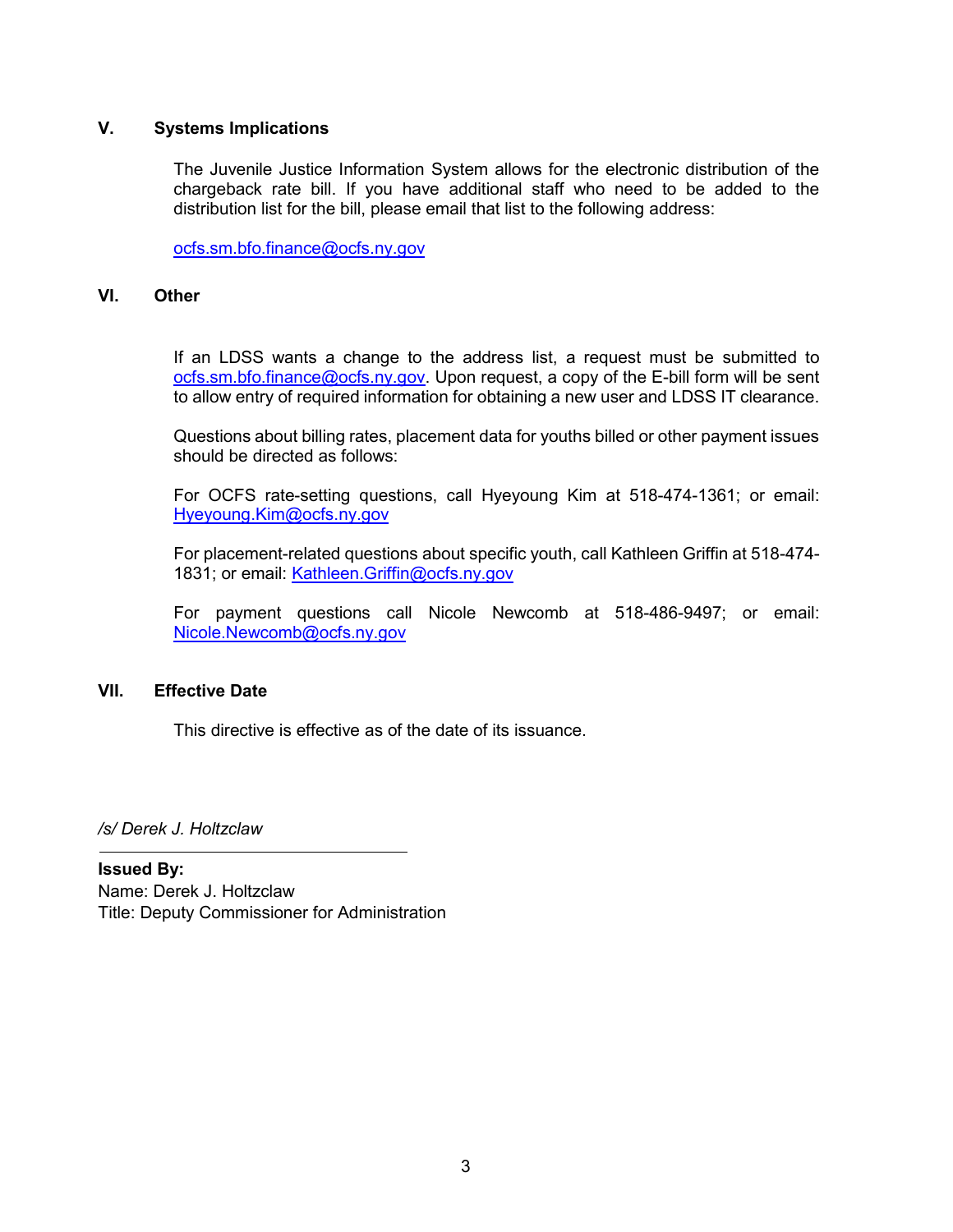# **V. Systems Implications**

The Juvenile Justice Information System allows for the electronic distribution of the chargeback rate bill. If you have additional staff who need to be added to the distribution list for the bill, please email that list to the following address:

[ocfs.sm.bfo.finance@ocfs.ny.gov](mailto:ocfs.sm.bfo.finance@ocfs.ny.gov)

### **VI. Other**

If an LDSS wants a change to the address list, a request must be submitted to ocfs.sm.bfo.finance@ocfs.ny.gov. Upon request, a copy of the E-bill form will be sent to allow entry of required information for obtaining a new user and LDSS IT clearance.

Questions about billing rates, placement data for youths billed or other payment issues should be directed as follows:

For OCFS rate-setting questions, call Hyeyoung Kim at 518-474-1361; or email: Hyeyoung.Kim@ocfs.ny.gov

For placement-related questions about specific youth, call Kathleen Griffin at 518-474- 1831; or email:<Kathleen.Griffin@ocfs.ny.gov>

For payment questions call Nicole Newcomb at 518-486-9497; or email: [Nicole.Newcomb@ocfs.ny.gov](mailto:Nicole.Newcomb@ocfs.ny.gov)

# **VII. Effective Date**

This directive is effective as of the date of its issuance.

*/s/ Derek J. Holtzclaw*

**Issued By:** Name: Derek J. Holtzclaw Title: Deputy Commissioner for Administration